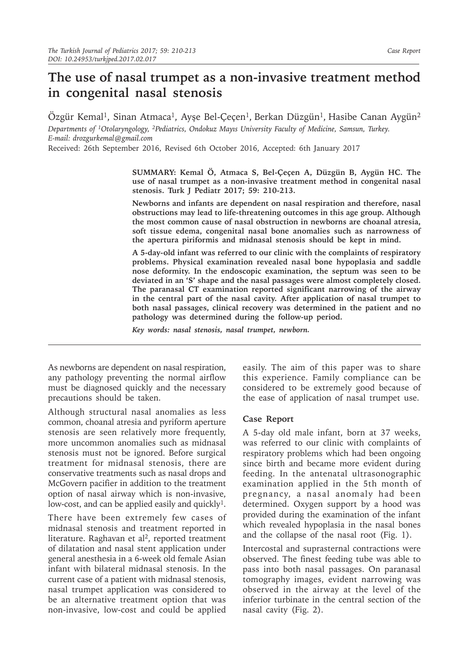## **The use of nasal trumpet as a non-invasive treatment method in congenital nasal stenosis**

Özgür Kemal<sup>1</sup>, Sinan Atmaca<sup>1</sup>, Ayşe Bel-Çeçen<sup>1</sup>, Berkan Düzgün<sup>1</sup>, Hasibe Canan Aygün<sup>2</sup> *Departments of 1Otolaryngology, 2Pediatrics, Ondokuz Mayıs University Faculty of Medicine, Samsun, Turkey. E-mail: drozgurkemal@gmail.com*

Received: 26th September 2016, Revised 6th October 2016, Accepted: 6th January 2017

**SUMMARY: Kemal Ö, Atmaca S, Bel-Çeçen A, Düzgün B, Aygün HC. The use of nasal trumpet as a non-invasive treatment method in congenital nasal stenosis. Turk J Pediatr 2017; 59: 210-213.**

**Newborns and infants are dependent on nasal respiration and therefore, nasal obstructions may lead to life-threatening outcomes in this age group. Although the most common cause of nasal obstruction in newborns are choanal atresia, soft tissue edema, congenital nasal bone anomalies such as narrowness of the apertura piriformis and midnasal stenosis should be kept in mind.**

**A 5-day-old infant was referred to our clinic with the complaints of respiratory problems. Physical examination revealed nasal bone hypoplasia and saddle nose deformity. In the endoscopic examination, the septum was seen to be deviated in an 'S' shape and the nasal passages were almost completely closed. The paranasal CT examination reported significant narrowing of the airway in the central part of the nasal cavity. After application of nasal trumpet to both nasal passages, clinical recovery was determined in the patient and no pathology was determined during the follow-up period.**

*Key words: nasal stenosis, nasal trumpet, newborn.*

As newborns are dependent on nasal respiration, any pathology preventing the normal airflow must be diagnosed quickly and the necessary precautions should be taken.

Although structural nasal anomalies as less common, choanal atresia and pyriform aperture stenosis are seen relatively more frequently, more uncommon anomalies such as midnasal stenosis must not be ignored. Before surgical treatment for midnasal stenosis, there are conservative treatments such as nasal drops and McGovern pacifier in addition to the treatment option of nasal airway which is non-invasive, low-cost, and can be applied easily and quickly<sup>1</sup>.

There have been extremely few cases of midnasal stenosis and treatment reported in literature. Raghavan et al<sup>2</sup>, reported treatment of dilatation and nasal stent application under general anesthesia in a 6-week old female Asian infant with bilateral midnasal stenosis. In the current case of a patient with midnasal stenosis, nasal trumpet application was considered to be an alternative treatment option that was non-invasive, low-cost and could be applied

easily. The aim of this paper was to share this experience. Family compliance can be considered to be extremely good because of the ease of application of nasal trumpet use.

## **Case Report**

A 5-day old male infant, born at 37 weeks, was referred to our clinic with complaints of respiratory problems which had been ongoing since birth and became more evident during feeding. In the antenatal ultrasonographic examination applied in the 5th month of pregnancy, a nasal anomaly had been determined. Oxygen support by a hood was provided during the examination of the infant which revealed hypoplasia in the nasal bones and the collapse of the nasal root (Fig. 1).

Intercostal and suprasternal contractions were observed. The finest feeding tube was able to pass into both nasal passages. On paranasal tomography images, evident narrowing was observed in the airway at the level of the inferior turbinate in the central section of the nasal cavity (Fig. 2).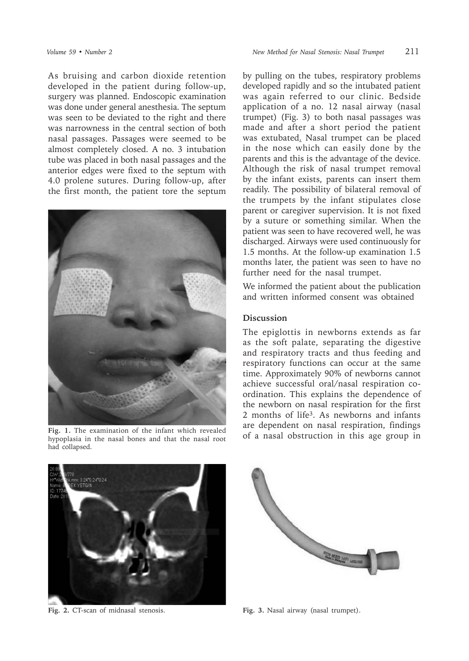As bruising and carbon dioxide retention developed in the patient during follow-up, surgery was planned. Endoscopic examination was done under general anesthesia. The septum was seen to be deviated to the right and there was narrowness in the central section of both nasal passages. Passages were seemed to be almost completely closed. A no. 3 intubation tube was placed in both nasal passages and the anterior edges were fixed to the septum with 4.0 prolene sutures. During follow-up, after the first month, the patient tore the septum



hypoplasia in the nasal bones and that the nasal root had collapsed.



by pulling on the tubes, respiratory problems developed rapidly and so the intubated patient was again referred to our clinic. Bedside application of a no. 12 nasal airway (nasal trumpet) (Fig. 3) to both nasal passages was made and after a short period the patient was extubated. Nasal trumpet can be placed in the nose which can easily done by the parents and this is the advantage of the device. Although the risk of nasal trumpet removal by the infant exists, parents can insert them readily. The possibility of bilateral removal of the trumpets by the infant stipulates close parent or caregiver supervision. It is not fixed by a suture or something similar. When the patient was seen to have recovered well, he was discharged. Airways were used continuously for 1.5 months. At the follow-up examination 1.5 months later, the patient was seen to have no further need for the nasal trumpet.

We informed the patient about the publication and written informed consent was obtained

## **Discussion**

The epiglottis in newborns extends as far as the soft palate, separating the digestive and respiratory tracts and thus feeding and respiratory functions can occur at the same time. Approximately 90% of newborns cannot achieve successful oral/nasal respiration coordination. This explains the dependence of the newborn on nasal respiration for the first 2 months of life3. As newborns and infants are dependent on nasal respiration, findings Fig. 1. The examination of the infant which revealed by a nasal obstruction in this age group in **Fig.** 1. The nasal bones and that the nasal root of a nasal obstruction in this age group in



**Fig. 2.** CT-scan of midnasal stenosis. **Fig. 3.** Nasal airway (nasal trumpet).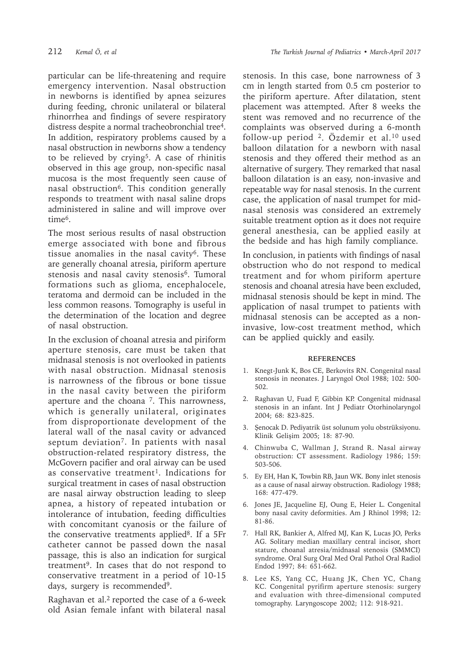particular can be life-threatening and require emergency intervention. Nasal obstruction in newborns is identified by apnea seizures during feeding, chronic unilateral or bilateral rhinorrhea and findings of severe respiratory distress despite a normal tracheobronchial tree<sup>4</sup>. In addition, respiratory problems caused by a nasal obstruction in newborns show a tendency to be relieved by crying<sup>5</sup>. A case of rhinitis observed in this age group, non-specific nasal mucosa is the most frequently seen cause of nasal obstruction<sup>6</sup>. This condition generally responds to treatment with nasal saline drops administered in saline and will improve over time6.

The most serious results of nasal obstruction emerge associated with bone and fibrous tissue anomalies in the nasal cavity<sup>6</sup>. These are generally choanal atresia, piriform aperture stenosis and nasal cavity stenosis<sup>6</sup>. Tumoral formations such as glioma, encephalocele, teratoma and dermoid can be included in the less common reasons. Tomography is useful in the determination of the location and degree of nasal obstruction.

In the exclusion of choanal atresia and piriform aperture stenosis, care must be taken that midnasal stenosis is not overlooked in patients with nasal obstruction. Midnasal stenosis is narrowness of the fibrous or bone tissue in the nasal cavity between the piriform aperture and the choana  $<sup>7</sup>$ . This narrowness,</sup> which is generally unilateral, originates from disproportionate development of the lateral wall of the nasal cavity or advanced septum deviation<sup>7</sup>. In patients with nasal obstruction-related respiratory distress, the McGovern pacifier and oral airway can be used as conservative treatment<sup>1</sup>. Indications for surgical treatment in cases of nasal obstruction are nasal airway obstruction leading to sleep apnea, a history of repeated intubation or intolerance of intubation, feeding difficulties with concomitant cyanosis or the failure of the conservative treatments applied<sup>8</sup>. If a 5Fr catheter cannot be passed down the nasal passage, this is also an indication for surgical treatment<sup>9</sup>. In cases that do not respond to conservative treatment in a period of 10-15 days, surgery is recommended<sup>9</sup>.

Raghavan et al.<sup>2</sup> reported the case of a 6-week old Asian female infant with bilateral nasal

stenosis. In this case, bone narrowness of 3 cm in length started from 0.5 cm posterior to the piriform aperture. After dilatation, stent placement was attempted. After 8 weeks the stent was removed and no recurrence of the complaints was observed during a 6-month follow-up period 2. Özdemir et al.10 used balloon dilatation for a newborn with nasal stenosis and they offered their method as an alternative of surgery. They remarked that nasal balloon dilatation is an easy, non-invasive and repeatable way for nasal stenosis. In the current case, the application of nasal trumpet for midnasal stenosis was considered an extremely suitable treatment option as it does not require general anesthesia, can be applied easily at the bedside and has high family compliance.

In conclusion, in patients with findings of nasal obstruction who do not respond to medical treatment and for whom piriform aperture stenosis and choanal atresia have been excluded, midnasal stenosis should be kept in mind. The application of nasal trumpet to patients with midnasal stenosis can be accepted as a noninvasive, low-cost treatment method, which can be applied quickly and easily.

## **REFERENCES**

- 1. Knegt-Junk K, Bos CE, Berkovits RN. Congenital nasal stenosis in neonates. J Laryngol Otol 1988; 102: 500- 502.
- 2. Raghavan U, Fuad F, Gibbin KP. Congenital midnasal stenosis in an infant. Int J Pediatr Otorhinolaryngol 2004; 68: 823-825.
- 3. Şenocak D. Pediyatrik üst solunum yolu obstrüksiyonu. Klinik Gelişim 2005; 18: 87-90.
- 4. Chinwuba C, Wallman J, Strand R. Nasal airway obstruction: CT assessment. Radiology 1986; 159: 503-506.
- 5. Ey EH, Han K, Towbin RB, Jaun WK. Bony inlet stenosis as a cause of nasal airway obstruction. Radiology 1988; 168: 477-479.
- 6. Jones JE, Jacqueline EJ, Oung E, Heier L. Congenital bony nasal cavity deformities. Am J Rhinol 1998; 12: 81-86.
- 7. Hall RK, Bankier A, Alfred MJ, Kan K, Lucas JO, Perks AG. Solitary median maxillary central incisor, short stature, choanal atresia/midnasal stenosis (SMMCI) syndrome. Oral Surg Oral Med Oral Pathol Oral Radiol Endod 1997; 84: 651-662.
- 8. Lee KS, Yang CC, Huang JK, Chen YC, Chang KC. Congenital pyrifirm aperture stenosis: surgery and evaluation with three-dimensional computed tomography. Laryngoscope 2002; 112: 918-921.